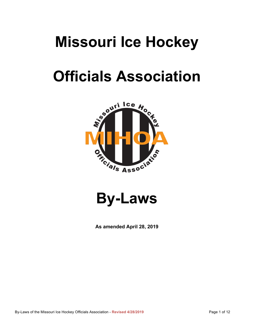## **Missouri Ice Hockey**

# **Officials Association**



**By-Laws**

**As amended April 28, 2019**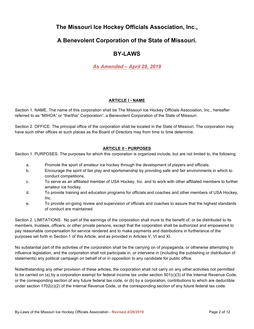## **The Missouri Ice Hockey Officials Association, Inc.,**

### **A Benevolent Corporation of the State of Missouri.**

## **BY-LAWS**

### *As Amended – April 28, 2019*

#### **ARTICLE I - NAME**

Section 1. NAME. The name of this corporation shall be The Missouri Ice Hockey Officials Association, Inc., hereafter referred to as "MIHOA" or "the/this" Corporation", a Benevolent Corporation of the State of Missouri.

Section 2. OFFICE. The principal office of the corporation shall be located in the State of Missouri. The corporation may have such other offices at such places as the Board of Directors may from time to time determine.

#### **ARTICLE II - PURPOSES**

Section 1. PURPOSES. The purposes for which this corporation is organized include, but are not limited to, the following:

- a. Promote the sport of amateur ice hockey through the development of players and officials.
- b. Encourage the spirit of fair play and sportsmanship by providing safe and fair environments in which to conduct competitions.
- c. To serve as an affiliated member of USA Hockey, Inc. and to work with other affiliated members to further amateur ice hockey.
- d. To provide training and education programs for officials and coaches and other members of USA Hockey, Inc.
- e. To provide on-going review and supervision of officials and coaches to assure that the highest standards of conduct are maintained.

Section 2. LIMITATIONS. No part of the earnings of the corporation shall inure to the benefit of, or be distributed to its members, trustees, officers, or other private persons, except that the corporation shall be authorized and empowered to pay reasonable compensation for service rendered and to make payments and distributions in furtherance of the purposes set forth in Section 1 of this Article, and as provided in Articles V, VI and XI.

No substantial part of the activities of the corporation shall be the carrying on of propaganda, or otherwise attempting to influence legislation, and the corporation shall not participate in, or intervene in (including the publishing or distribution of statements) any political campaign on behalf of or in opposition to any candidate for public office.

Notwithstanding any other provision of these articles, the corporation shall not carry on any other activities not permitted to be carried on (a) by a corporation exempt for federal income tax under section 501(c)(3) of the Internal Revenue Code, or the corresponding section of any future federal tax code, or (b) by a corporation, contributions to which are deductible under section 1702(c)(2) of the Internal Revenue Code, or the corresponding section of any future federal tax code.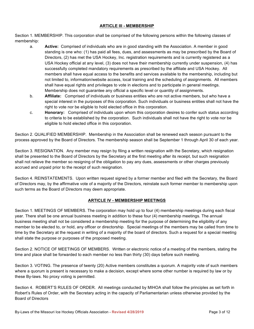#### **ARTICLE Ill - MEMBERSHIP**

Section 1. MEMBERSHIP. This corporation shall be comprised of the following persons within the following classes of membership:

- a. **Active:** Comprised of individuals who are in good standing with the Association. A member in good standing is one who: (1) has paid all fees, dues, and assessments as may be prescribed by the Board of Directors, (2) has met the USA Hockey, Inc. registration requirements and is currently registered as a USA Hockey official at any level, (3) does not have their membership currently under suspension, (4) has successfully completed mandatory requirements as prescribed by the affiliate and USA Hockey. All members shall have equal access to the benefits and services available to the membership, including but not limited to, information/website access, local training and the scheduling of assignments. All members shall have equal rights and privileges to vote in elections and to participate in general meetings. Membership does not guarantee any official a specific level or quantity of assignments.
- b. **Affiliate:** Comprised of individuals or business entities who are not active members, but who have a special interest in the purposes of this corporation. Such individuals or business entities shall not have the right to vote nor be eligible to hold elected office in this corporation.
- c. **Honorary:** Comprised of individuals upon whom this corporation desires to confer such status according to criteria to be established by the corporation. Such individuals shall not have the right to vote nor be eligible to hold elected office in this corporation.

Section 2. QUALIFIED MEMBERSHIP. Membership in the Association shall be renewed each season pursuant to the process approved by the Board of Directors. The membership season shall be September 1 through April 30 of each year.

Section 3. RESIGNATION. Any member may resign by filing a written resignation with the Secretary, which resignation shall be presented to the Board of Directors by the Secretary at the first meeting after its receipt, but such resignation shall not relieve the member so resigning of the obligation to pay any dues, assessments or other charges previously accrued and unpaid prior to the receipt of such resignation.

Section 4. REINSTATEMENTS. Upon written request signed by a former member and filed with the Secretary, the Board of Directors may, by the affirmative vote of a majority of the Directors, reinstate such former member to membership upon such terms as the Board of Directors may deem appropriate.

#### **ARTICLE IV - MEMBERSHIP MEETINGS**

Section 1. MEETINGS OF MEMBERS. The corporation may hold up to four (4) membership meetings during each fiscal year. There shall be one annual business meeting in addition to these four (4) membership meetings. The annual business meeting shall not be considered a membership meeting for the purpose of determining the eligibility of any member to be elected to, or hold, any officer or directorship. Special meetings of the members may be called from time to time by the Secretary at the request in writing of a majority of the board of directors. Such a request for a special meeting shall state the purpose or purposes of the proposed meeting.

Section 2. NOTICE OF MEETINGS OF MEMBERS. Written or electronic notice of a meeting of the members, stating the time and place shall be forwarded to each member no less than thirty (30) days before such meeting.

Section 3. VOTING. The presence of twenty (20) Active members constitutes a quorum. A majority vote of such members where a quorum is present is necessary to make a decision, except where some other number is required by law or by these By-laws. No proxy voting is permitted.

Section 4. ROBERT'S RULES OF ORDER. All meetings conducted by MIHOA shall follow the principles as set forth in Robert's Rules of Order, with the Secretary acting in the capacity of Parliamentarian unless otherwise provided by the Board of Directors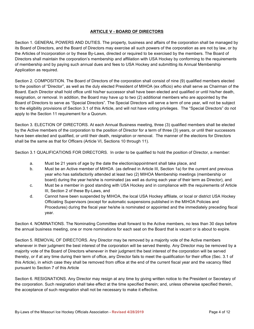#### **ARTICLE V - BOARD OF DIRECTORS**

Section 1. GENERAL POWERS AND DUTIES. The property, business and affairs of the corporation shall be managed by its Board of Directors, and the Board of Directors may exercise all such powers of the corporation as are not by law, or by the Articles of Incorporation or by these By-Laws, directed or required to be exercised by the members. The Board of Directors shall maintain the corporation's membership and affiliation with USA Hockey by conforming to the requirements of membership and by paying such annual dues and fees to USA Hockey and submitting its Annual Membership Application as required.

Section 2. COMPOSITION. The Board of Directors of the corporation shall consist of nine (9) qualified members elected to the position of "Director", as well as the duly elected President of MIHOA (ex officio) who shall serve as Chairman of the Board. Each Director shall hold office until his/her successor shall have been elected and qualified or until his/her death, resignation, or removal. In addition, the Board may have up to two (2) additional members who are appointed by the Board of Directors to serve as "Special Directors". The Special Directors will serve a term of one year, will not be subject to the eligibility provisions of Section 3.1 of this Article, and will not have voting privileges. The "Special Directors" do not apply to the Section 11 requirement for a Quorum.

Section 3. ELECTION OF DIRECTORS. At each Annual Business meeting, three (3) qualified members shall be elected by the Active members of the corporation to the position of Director for a term of three (3) years, or until their successors have been elected and qualified, or until their death, resignation or removal. The manner of the elections for Directors shall be the same as that for Officers (Article VI, Sections 10 through 11).

Section 3.1 QUALIFICATIONS FOR DIRECTORS. In order to be qualified to hold the position of Director, a member:

- a. Must be 21 years of age by the date the election/appointment shall take place, and
- b. Must be an Active member of MIHOA (as defined in Article III, Section 1a) for the current and previous year who has satisfactorily attended at least two (2) MIHOA Membership meetings (membership or board) during the year he/she is nominated (as well as during each year of their term as Director), and
- c. Must be a member in good standing with USA Hockey and in compliance with the requirements of Article III, Section 2 of these By-Laws, and
- d. Cannot have been suspended by MIHOA, the local USA Hockey affiliate, or local or district USA Hockey Officiating Supervisors (except for automatic suspensions published in the MIHOA Policies and Procedures) during the fiscal year he/she is nominated or appointed and the immediately preceding fiscal year.

Section 4. NOMINATIONS. The Nominating Committee shall forward to the Active members, no less than 30 days before the annual business meeting, one or more nominations for each seat on the Board that is vacant or is about to expire.

Section 5. REMOVAL OF DIRECTORS. Any Director may be removed by a majority vote of the Active members whenever in their judgment the best interest of the corporation will be served thereby. Any Director may be removed by a majority vote of the Board of Directors whenever in their judgment the best interest of the corporation will be served thereby, or if at any time during their term of office, any Director fails to meet the qualification for their office (Sec. 3.1 of this Article), in which case they shall be removed from office at the end of the current fiscal year and the vacancy filled pursuant to Section 7 of this Article

Section 6. RESIGNATIONS. Any Director may resign at any time by giving written notice to the President or Secretary of the corporation. Such resignation shall take effect at the time specified therein; and, unless otherwise specified therein, the acceptance of such resignation shall not be necessary to make it effective.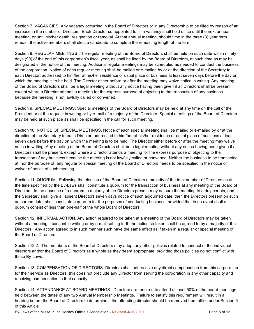Section 7. VACANCIES. Any vacancy occurring in the Board of Directors or in any Directorship to be filled by reason of an increase in the number of Directors, Each Director so appointed to fill a vacancy shall hold office until the next annual meeting, or until his/her death, resignation or removal. At that annual meeting, should time in the three (3) year term remain, the active members shall elect a candidate to complete the remaining length of the term.

Section 8. REGULAR MEETINGS. The regular meeting of the Board of Directors shall be held on such date within ninety days (90) of the end of this corporation's fiscal year, as shall be fixed by the Board of Directors, at such time as may be designated in the notice of the meeting. Additional regular meetings may be scheduled as needed to conduct the business of the corporation. Notice of each regular meeting shall be mailed or e-mailed by or at the direction of the Secretary to each Director, addressed to him/her at his/her residence or usual place of business at least seven days before the day on which the meeting is to be held. The Director either before or after the meeting may waive notice in writing. Any meeting of the Board of Directors shall be a legal meeting without any notice having been given if all Directors shall be present, except where a Director attends a meeting for the express purpose of objecting to the transaction of any business because the meeting is not lawfully called or convened.

Section 9. SPECIAL MEETINGS. Special meetings of the Board of Directors may be held at any time on the call of the President or at the request in writing or by e-mail of a majority of the Directors. Special meetings of the Board of Directors may be held at such place as shall be specified in the call for such meeting.

Section 10. NOTICE OF SPECIAL MEETINGS. Notice of each special meeting shall be mailed or e-mailed by or at the direction of the Secretary to each Director, addressed to him/her at his/her residence or usual place of business at least seven days before the day on which the meeting is to be held. The Director either before or after the meeting may waive notice in writing. Any meeting of the Board of Directors shall be a legal meeting without any notice having been given if all Directors shall be present, except where a Director attends a meeting for the express purpose of objecting to the transaction of any business because the meeting is not lawfully called or convened. Neither the business to be transacted at, nor the purpose of, any regular or special meeting of the Board of Directors needs to be specified in the notice or waiver of notice of such meeting.

Section 11. QUORUM. Following the election of the Board of Directors a majority of the total number of Directors as at the time specified by the By-Laws shall constitute a quorum for the transaction of business at any meeting of the Board of Directors. In the absence of a quorum, a majority of the Directors present may adjourn the meeting to a day certain, and the Secretary shall give all absent Directors seven days notice of such adjourned date; then the Directors present on such adjourned date, shall constitute a quorum for the purposes of conducting business, provided that in no event shall a quorum consist of less than one-half of the whole Board of Directors.

Section 12. INFORMAL ACTION. Any action required to be taken at a meeting of the Board of Directors may be taken without a meeting if consent in writing or by e-mail setting forth the action so taken shall be agreed to by a majority of the Directors. Any action agreed to in such manner such have the same effect as if taken in a regular or special meeting of the Board of Directors.

Section 12.2. The members of the Board of Directors may adopt any other policies related to conduct of the individual directors and/or the Board of Directors as a whole as they deem appropriate, provided those policies do not conflict with these By-Laws.

Section 13. COMPENSATION OF DIRECTORS. Directors shall not receive any direct compensation from this corporation for their service as Directors; this does not preclude any Director from serving the corporation in any other capacity and receiving compensation in that capacity.

Section 14. ATTENDANCE AT BOARD MEETINGS. Directors are required to attend at least 50% of the board meetings held between the dates of any two Annual Membership Meetings. Failure to satisfy this requirement will result in a hearing before the Board of Directors to determine if the offending director should be removed from office under Section 5 of this Article.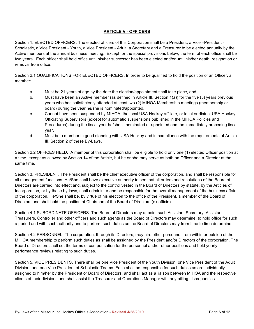#### **ARTICLE VI- OFFICERS**

Section 1. ELECTED OFFICERS. The elected officers of this Corporation shall be a President, a Vice –President - Scholastic, a Vice President - Youth, a Vice President - Adult, a Secretary and a Treasurer to be elected annually by the Active members at the annual business meeting. Except for the special provisions below, the term of each office shall be two years. Each officer shall hold office until his/her successor has been elected and/or until his/her death, resignation or removal from office.

Section 2.1 QUALIFICATIONS FOR ELECTED OFFICERS. In order to be qualified to hold the position of an Officer, a member:

a. Must be 21 years of age by the date the election/appointment shall take place, and,

.

- b. Must have been an Active member (as defined in Article III, Section 1(a)) for the five (5) years previous years who has satisfactorily attended at least two (2) MIHOA Membership meetings (membership or board) during the year he/she is nominated/appointed.
- c. Cannot have been suspended by MIHOA, the local USA Hockey affiliate, or local or district USA Hockey Officiating Supervisors (except for automatic suspensions published in the MIHOA Policies and Procedures) during the fiscal year he/she is nominated or appointed and the immediately preceding fiscal year.
- d. Must be a member in good standing with USA Hockey and in compliance with the requirements of Article III, Section 2 of these By-Laws.

Section 2.2 OFFICES HELD. A member of this corporation shall be eligible to hold only one (1) elected Officer position at a time, except as allowed by Section 14 of the Article, but he or she may serve as both an Officer and a Director at the same time.

Section 3. PRESIDENT. The President shall be the chief executive officer of the corporation, and shall be responsible for all management functions. He/She shall have executive authority to see that all orders and resolutions of the Board of Directors are carried into effect and, subject to the control vested in the Board of Directors by statute, by the Articles of Incorporation, or by these by-laws, shall administer and be responsible for the overall management of the business affairs of the corporation. He/She shall be, by virtue of his election to the office of the President, a member of the Board of Directors and shall hold the position of Chairman of the Board of Directors (ex officio).

Section 4.1 SUBORDINATE OFFICERS. The Board of Directors may appoint such Assistant Secretary, Assistant Treasurers, Controller and other officers and such agents as the Board of Directors may determine, to hold office for such a period and with such authority and to perform such duties as the Board of Directors may from time to time determine.

Section 4.2 PERSONNEL. The corporation, through its Directors, may hire other personnel from within or outside of the MIHOA membership to perform such duties as shall be assigned by the President and/or Directors of the corporation. The Board of Directors shall set the terms of compensation for the personnel and/or other positions and hold yearly performance reviews relating to such duties.

Section 5. VICE PRESIDENTS. There shall be one Vice President of the Youth Division, one Vice President of the Adult Division, and one Vice President of Scholastic Teams. Each shall be responsible for such duties as are individually assigned to him/her by the President or Board of Directors, and shall act as a liaison between MIHOA and the respective clients of their divisions and shall assist the Treasurer and Operations Manager with any billing discrepancies.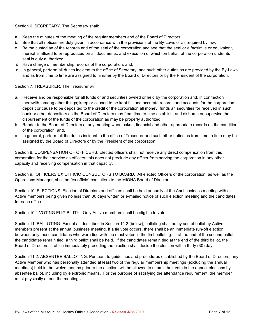Section 6. SECRETARY. The Secretary shall:

- a. Keep the minutes of the meeting of the regular members and of the Board of Directors;
- b. See that all notices are duly given in accordance with the provisions of the By-Laws or as required by law;
- c. Be the custodian of the records and of the seal of the corporation and see that the seal or a facsimile or equivalent, thereof is affixed to or reproduced on all documents, and execution of which on behalf of the corporation under its seal is duly authorized.
- d. Have charge of membership records of the corporation; and,
- e. In general, perform all duties incident to the office of Secretary, and such other duties as are provided by the By-Laws and as from time to time are assigned to him/her by the Board of Directors or by the President of the corporation.

Section 7. TREASURER. The Treasurer will:

- a. Receive and be responsible for all funds of and securities owned or held by the corporation and, in connection therewith, among other things; keep or caused to be kept full and accurate records and accounts for the corporation; deposit or cause to be deposited to the credit of the corporation all money, funds an securities for received in such bank or other depository as the Board of Directors may from time to time establish; and disburse or supervise the disbursement of the funds of the corporation as may be properly authorized;
- b. Render to the Board of Directors at any meeting when asked, financial and other appropriate records on the condition of the corporation; and,
- c. In general, perform all the duties incident to the office of Treasurer and such other duties as from time to time may be assigned by the Board of Directors or by the President of the corporation.

Section 8. COMPENSATION OF OFFICERS. Elected officers shall not receive any direct compensation from this corporation for their service as officers; this does not preclude any officer from serving the corporation in any other capacity and receiving compensation in that capacity.

Section 9. OFFICERS EX OFFICIO CONSULTORS TO BOARD. All elected Officers of the corporation, as well as the Operations Manager, shall be (ex officio) consulters to the MIOHA Board of Directors.

Section 10. ELECTIONS. Election of Directors and officers shall be held annually at the April business meeting with all Active members being given no less than 30 days written or e-mailed notice of such election meeting and the candidates for each office.

Section 10.1 VOTING ELIGIBILITY. Only Active members shall be eligible to vote.

Section 11. BALLOTING. Except as described in Section 11.2 (below), balloting shall be by secret ballot by Active members present at the annual business meeting. If a tie vote occurs, there shall be an immediate run-off election between only those candidates who were tied with the most votes in the first balloting. If at the end of the second ballot the candidates remain tied, a third ballot shall be held. If the candidates remain tied at the end of the third ballot, the Board of Directors in office immediately preceding the election shall decide the election within thirty (30) days.

Section 11.2. ABSENTEE BALLOTING. Pursuant to guidelines and procedures established by the Board of Directors, any Active Member who has personally attended at least two of the regular membership meetings (excluding the annual meetings) held in the twelve months prior to the election, will be allowed to submit their vote in the annual elections by absentee ballot, including by electronic means. For the purpose of satisfying the attendance requirement, the member must physically attend the meetings.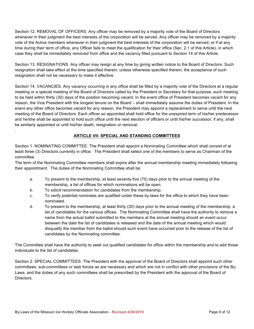Section 12*.* REMOVAL OF OFFICERS. Any officer may be removed by a majority vote of the Board of Directors whenever in their judgment the best interests of the corporation will be served. Any officer may be removed by a majority vote of the Active members whenever in their judgment the best interests of the corporation will be served, or if at any time during their term of office, any Officer fails to meet the qualification for their office (Sec. 2.1 of this Article), in which case they shall be immediately removed from office and the vacancy filled pursuant to Section 14 of this Article.

Section 13. RESIGNATIONS. Any officer may resign at any time by giving written notice to the Board of Directors. Such resignation shall take effect at the time specified therein; unless otherwise specified therein; the acceptance of such resignation shall not be necessary to make it effective.

Section 14. VACANCIES. Any vacancy occurring in any office shall be filled by a majority vote of the Directors at a regular meeting or a special meeting of the Board of Directors called by the President or Secretary for that purpose, such meeting to be held within thirty (30) days of the position becoming vacant. In the event office of President becomes vacant for any reason, the Vice President with the longest tenure on the Board – shall immediately assume the duties of President. In the event any other office becomes vacant for any reason, the President may appoint a replacement to serve until the next meeting of the Board of Directors. Each officer so appointed shall hold office for the unexpired term of his/her predecessor and he/she shall be appointed to hold such office until the next election of officers or until his/her successor, if any, shall be similarly appointed or until his/her death, resignation or removal.

#### **ARTICLE VII- SPECIAL AND STANDING COMMITTEES**

Section 1. NOMINATING COMMITTEE. The President shall appoint a Nominating Committee which shall consist of at least three (3) Directors currently in office. The President shall select one of the members to serve as Chairman of the committee.

The term of the Nominating Committee members shall expire after the annual membership meeting immediately following their appointment. The duties of the Nominating Committee shall be:

- a. To present to the membership, at least seventy-five (75) days prior to the annual meeting of the membership, a list of offices for which nominations will be open.
- b. To solicit recommendation for candidates from the membership.

.

- c. To verify potential nominees are qualified under these by-laws for the office to which they have been nominated.
- d. To present to the membership, at least thirty (30) days prior to the annual meeting of the membership, a list of candidates for the various offices. The Nominating Committee shall have the authority to remove a name from the actual ballot submitted to the members at the annual meeting should an event occur between the date the list of candidates is released and the date of the annual meeting which would disqualify the member from the ballot should such event have occurred prior to the release of the list of candidates by the Nominating committee.

The Committee shall have the authority to seek out qualified candidates for office within the membership and to add those individuals to the list of candidates.

Section 2. SPECIAL COMMITTEES. The President with the approval of the Board of Directors shall appoint such other committees, sub-committees or task forces as are necessary and which are not in conflict with other provisions of the By-Laws, and the duties of any such committees shall be prescribed by the President with the approval of the Board of Directors.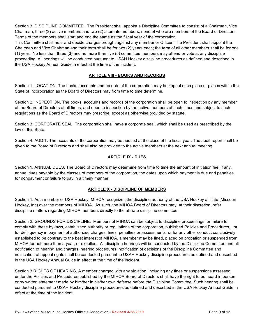Section 3. DISCIPLINE COMMITTEE. The President shall appoint a Discipline Committee to consist of a Chairman, Vice Chairman, three (3) active members and two (2) alternate members, none of who are members of the Board of Directors. Terms of the members shall start and end the same as the fiscal year of the corporation.

This Committee shall hear and decide charges brought against any member or Officer. The President shall appoint the Chairman and Vice Chairman and their term shall be for two (2) years each; the term of all other members shall be for one (1) year. No less than three (3) and no more than five (5) committee members may attend or vote at any discipline proceeding. All hearings will be conducted pursuant to USAH Hockey discipline procedures as defined and described in the USA Hockey Annual Guide in effect at the time of the incident.

#### **ARTICLE VIII - BOOKS AND RECORDS**

Section 1*.* LOCATION. The books, accounts and records of the corporation may be kept at such place or places within the State of Incorporation as the Board of Directors may from time to time determine.

Section 2. INSPECTION. The books, accounts and records of the corporation shall be open to inspection by any member of the Board of Directors at all times; and open to inspection by the active members at such times and subject to such regulations as the Board of Directors may prescribe, except as otherwise provided by statute.

Section 3. CORPORATE SEAL. The corporation shall have a corporate seal, which shall be used as prescribed by the law of this State.

Section 4. AUDIT. The accounts of the corporation may be audited at the close of the fiscal year. The audit report shall be given to the Board of Directors and shall also be provided to the active members at the next annual meeting.

#### **ARTICLE IX - DUES**

Section 1. ANNUAL DUES. The Board of Directors may determine from time to time the amount of initiation fee, if any, annual dues payable by the classes of members of the corporation, the dates upon which payment is due and penalties for nonpayment or failure to pay in a timely manner.

#### **ARTICLE X - DISCIPLINE OF MEMBERS**

Section 1. As a member of USA Hockey, MIHOA recognizes the discipline authority of the USA Hockey affiliate (Missouri Hockey, Inc) over the members of MIHOA. As such, the MIHOA Board of Directors may, at their discretion, refer discipline matters regarding MIHOA members directly to the affiliate discipline committee.

Section 2. GROUNDS FOR DISCIPLINE. Members of MIHOA can be subject to discipline proceedings for failure to comply with these by-laws, established authority or regulations of the corporation, published Policies and Procedures, or for delinquency in payment of authorized charges, fines, penalties or assessments, or for any other conduct conclusively established to be contrary to the best interest of MIHOA, a member may be fined, placed on probation or suspended from MIHOA for not more than a year, or expelled. All discipline hearings will be conducted by the Discipline Committee and all notification of hearing and charges, hearing procedures, notification of decisions of the Discipline Committee and notification of appeal rights shall be conducted pursuant to USAH Hockey discipline procedures as defined and described in the USA Hockey Annual Guide in effect at the time of the incident.

Section 3 RIGHTS OF HEARING. A member charged with any violation, including any fines or suspensions assessed under the Policies and Procedures published by the MIHOA Board of Directors shall have the right to be heard in person or by written statement made by him/her in his/her own defense before the Discipline Committee. Such hearing shall be conducted pursuant to USAH Hockey discipline procedures as defined and described in the USA Hockey Annual Guide in effect at the time of the incident.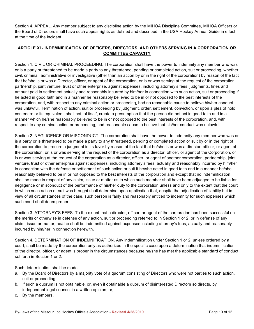Section 4. APPEAL. Any member subject to any discipline action by the MIHOA Discipline Committee, MIHOA Officers or the Board of Directors shall have such appeal rights as defined and described in the USA Hockey Annual Guide in effect at the time of the incident.

#### **ARTICLE XI - INDEMNIFICATION OF OFFICERS, DIRECTORS, AND OTHERS SERVING IN A CORPORATION OR COMMITTEE CAPACITY**

Section 1. CIVIL OR CRIMINAL PROCEEDING. The corporation shall have the power to indemnify any member who was or is a party or threatened to be made a party to any threatened, pending or completed action, suit or proceeding, whether civil, criminal, administrative or investigative (other than an action by or in the right of the corporation) by reason of the fact that he/she is or was a Director, officer, or agent of the corporation, or is or was serving at the request of the corporation, partnership, joint venture, trust or other enterprise, against expenses, including attorney's fees, judgments, fines and amount paid in settlement actually and reasonably incurred by him/her in connection with such action, suit or proceeding if he acted in good faith and in a manner he reasonably believed to be in or not opposed to the best interests of the corporation, and, with respect to any criminal action or proceeding, had no reasonable cause to believe his/her conduct was unlawful. Termination of action, suit or proceeding by judgment, order, settlement, conviction, or upon a plea of nolo contendre or its equivalent, shall not, of itself, create a presumption that the person did not act in good faith and in a manner which he/she reasonably believed to be in or not opposed to the best interests of the corporation, and, with respect to any criminal action or proceeding, had reasonable cause to believe that his/her conduct was unlawful.

Section 2. NEGLIGENCE OR MISCONDUCT. The corporation shall have the power to indemnify any member who was or is a party or is threatened to be made a party to any threatened, pending or completed action or suit by or in the right of the corporation to procure a judgment in its favor by reason of the fact that he/she is or was a director, officer, or agent of the corporation, or is or was serving at the request of the corporation as a director, officer, or agent of the Corporation, or is or was serving at the request of the corporation as a director, officer, or agent of another corporation, partnership, joint venture, trust or other enterprise against expenses, including attorney's fees, actually and reasonably incurred by him/her in connection with the defense or settlement of such action or suit if he/she acted in good faith and in a manner he/she reasonably believed to be in or not opposed to the best interests of the corporation and except that no indemnification shall be made in respect of any claim, issue or matter as to which such member shall have been adjudged to be liable for negligence or misconduct of the performance of his/her duty to the corporation unless and only to the extent that the court in which such action or suit was brought shall determine upon application that, despite the adjudication of liability but in view of all circumstances of the case, such person is fairly and reasonably entitled to indemnity for such expenses which such court shall deem proper.

Section 3. ATTORNEY'S FEES. To the extent that a director, officer, or agent of the corporation has been successful on the merits or otherwise in defense of any action, suit or proceeding referred to in Section 1 or 2, or in defense of any claim, issue or matter, he/she shall be indemnified against expenses including attorney's fees, actually and reasonably incurred by him/her in connection herewith.

Section 4. DETERMINATION OF INDEMNIFICATION. Any indemnification under Section 1 or 2, unless ordered by a court, shall be made by the corporation only as authorized in the specific case upon a determination that indemnification of the director, officer, or agent is proper in the circumstances because he/she has met the applicable standard of conduct set forth in Section 1 or 2.

Such determination shall be made:

- a. By the Board of Directors by a majority vote of a quorum consisting of Directors who were not parties to such action, suit or proceeding;
- b. If such a quorum is not obtainable, or, even if obtainable a quorum of disinterested Directors so directs, by independent legal counsel in a written opinion; or,
- c. By the members.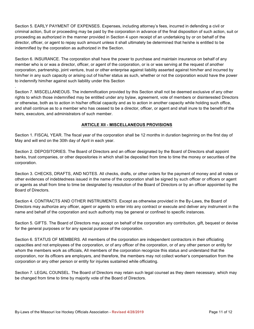Section 5. EARLY PAYMENT OF EXPENSES. Expenses, including attorney's fees, incurred in defending a civil or criminal action, Suit or proceeding may be paid by the corporation in advance of the final disposition of such action, suit or proceeding as authorized in the manner provided in Section 4 upon receipt of an undertaking by or on behalf of the director, officer, or agent to repay such amount unless it shall ultimately be determined that he/she is entitled to be indemnified by the corporation as authorized in the Section.

Section 6. INSURANCE. The corporation shall have the power to purchase and maintain insurance on behalf of any member who is or was a director, officer, or agent of the corporation, or is or was serving at the request of another corporation, partnership, joint venture, trust or other enterprise against liability asserted against him/her and incurred by him/her in any such capacity or arising out of his/her status as such, whether or not the corporation would have the power to indemnify him/her against such liability under this Section

Section 7. MISCELLANEOUS. The indemnification provided by this Section shall not be deemed exclusive of any other rights to which those indemnified may be entitled under any bylaw, agreement, vote of members or disinterested Directors or otherwise, both as to action in his/her official capacity and as to action in another capacity while holding such office, and shall continue as to a member who has ceased to be a director, officer, or agent and shall inure to the benefit of the heirs, executors, and administrators of such member.

#### **ARTICLE XII - MISCELLANEOUS PROVISIONS**

Section 1. FISCAL YEAR. The fiscal year of the corporation shall be 12 months in duration beginning on the first day of May and will end on the 30th day of April in each year.

Section 2. DEPOSITORIES. The Board of Directors and an officer designated by the Board of Directors shall appoint banks, trust companies, or other depositories in which shall be deposited from time to time the money or securities of the corporation.

Section 3. CHECKS, DRAFTS, AND NOTES. All checks, drafts, or other orders for the payment of money and all notes or other evidences of indebtedness issued in the name of the corporation shall be signed by such officer or officers or agent or agents as shall from time to time be designated by resolution of the Board of Directors or by an officer appointed by the Board of Directors.

Section 4. CONTRACTS AND OTHER INSTRUMENTS. Except as otherwise provided in the By-Laws, the Board of Directors may authorize any officer, agent or agents to enter into any contract or execute and deliver any instrument in the name and behalf of the corporation and such authority may be general or confined to specific instances.

Section 5. GIFTS. The Board of Directors may accept on behalf of the corporation any contribution, gift, bequest or devise for the general purposes or for any special purpose of the corporation.

Section 6. STATUS OF MEMBERS. All members of the corporation are independent contractors in their officiating capacities and not employees of the corporation, or of any officer of the corporation, or of any other person or entity for whom the members work as officials, All members of the corporation recognize this status and understand that the corporation, nor its officers are employers, and therefore, the members may not collect worker's compensation from the corporation or any other person or entity for injuries sustained while officiating.

Section 7. LEGAL COUNSEL. The Board of Directors may retain such legal counsel as they deem necessary, which may be changed from time to time by majority vote of the Board of Directors.

.